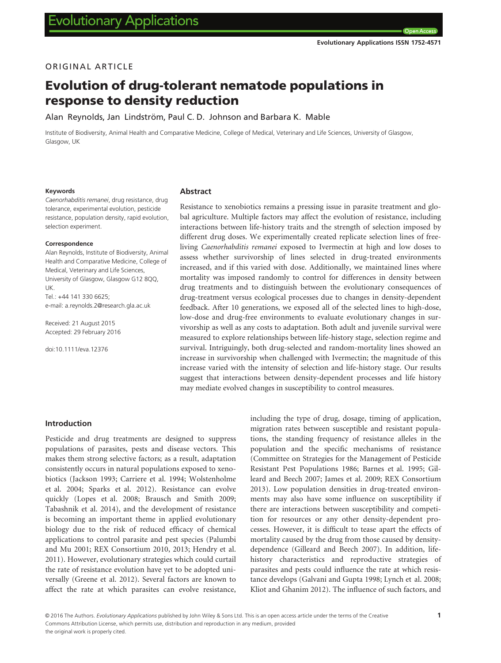# ORIGINAL ARTICLE

# Evolution of drug-tolerant nematode populations in response to density reduction

Alan Reynolds, Jan Lindström, Paul C. D. Johnson and Barbara K. Mable

Institute of Biodiversity, Animal Health and Comparative Medicine, College of Medical, Veterinary and Life Sciences, University of Glasgow, Glasgow, UK

#### Keywords

#### Caenorhabditis remanei, drug resistance, drug tolerance, experimental evolution, pesticide resistance, population density, rapid evolution, selection experiment.

#### Correspondence

Alan Reynolds, Institute of Biodiversity, Animal Health and Comparative Medicine, College of Medical, Veterinary and Life Sciences, University of Glasgow, Glasgow G12 8QQ, UK.  $Tel: +44 141 330 6625$ e-mail: a.reynolds.2@research.gla.ac.uk

Received: 21 August 2015 Accepted: 29 February 2016

doi:10.1111/eva.12376

#### Abstract

Resistance to xenobiotics remains a pressing issue in parasite treatment and global agriculture. Multiple factors may affect the evolution of resistance, including interactions between life-history traits and the strength of selection imposed by different drug doses. We experimentally created replicate selection lines of freeliving Caenorhabditis remanei exposed to Ivermectin at high and low doses to assess whether survivorship of lines selected in drug-treated environments increased, and if this varied with dose. Additionally, we maintained lines where mortality was imposed randomly to control for differences in density between drug treatments and to distinguish between the evolutionary consequences of drug-treatment versus ecological processes due to changes in density-dependent feedback. After 10 generations, we exposed all of the selected lines to high-dose, low-dose and drug-free environments to evaluate evolutionary changes in survivorship as well as any costs to adaptation. Both adult and juvenile survival were measured to explore relationships between life-history stage, selection regime and survival. Intriguingly, both drug-selected and random-mortality lines showed an increase in survivorship when challenged with Ivermectin; the magnitude of this increase varied with the intensity of selection and life-history stage. Our results suggest that interactions between density-dependent processes and life history may mediate evolved changes in susceptibility to control measures.

#### Introduction

Pesticide and drug treatments are designed to suppress populations of parasites, pests and disease vectors. This makes them strong selective factors; as a result, adaptation consistently occurs in natural populations exposed to xenobiotics (Jackson 1993; Carriere et al. 1994; Wolstenholme et al. 2004; Sparks et al. 2012). Resistance can evolve quickly (Lopes et al. 2008; Brausch and Smith 2009; Tabashnik et al. 2014), and the development of resistance is becoming an important theme in applied evolutionary biology due to the risk of reduced efficacy of chemical applications to control parasite and pest species (Palumbi and Mu 2001; REX Consortium 2010, 2013; Hendry et al. 2011). However, evolutionary strategies which could curtail the rate of resistance evolution have yet to be adopted universally (Greene et al. 2012). Several factors are known to affect the rate at which parasites can evolve resistance,

including the type of drug, dosage, timing of application, migration rates between susceptible and resistant populations, the standing frequency of resistance alleles in the population and the specific mechanisms of resistance (Committee on Strategies for the Management of Pesticide Resistant Pest Populations 1986; Barnes et al. 1995; Gilleard and Beech 2007; James et al. 2009; REX Consortium 2013). Low population densities in drug-treated environments may also have some influence on susceptibility if there are interactions between susceptibility and competition for resources or any other density-dependent processes. However, it is difficult to tease apart the effects of mortality caused by the drug from those caused by densitydependence (Gilleard and Beech 2007). In addition, lifehistory characteristics and reproductive strategies of parasites and pests could influence the rate at which resistance develops (Galvani and Gupta 1998; Lynch et al. 2008; Kliot and Ghanim 2012). The influence of such factors, and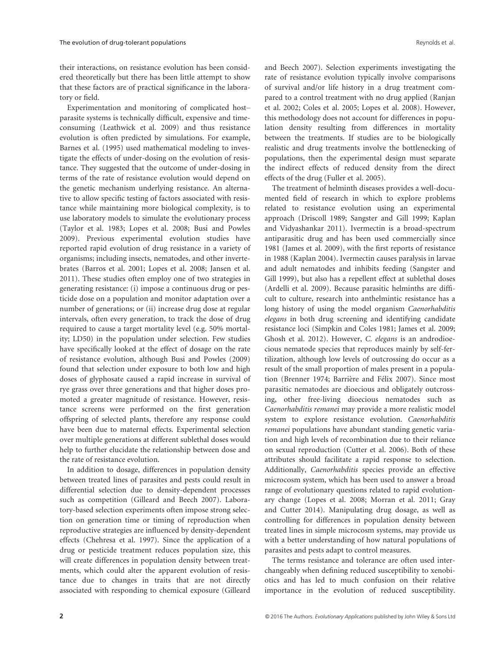their interactions, on resistance evolution has been considered theoretically but there has been little attempt to show that these factors are of practical significance in the laboratory or field.

Experimentation and monitoring of complicated host– parasite systems is technically difficult, expensive and timeconsuming (Leathwick et al. 2009) and thus resistance evolution is often predicted by simulations. For example, Barnes et al. (1995) used mathematical modeling to investigate the effects of under-dosing on the evolution of resistance. They suggested that the outcome of under-dosing in terms of the rate of resistance evolution would depend on the genetic mechanism underlying resistance. An alternative to allow specific testing of factors associated with resistance while maintaining more biological complexity, is to use laboratory models to simulate the evolutionary process (Taylor et al. 1983; Lopes et al. 2008; Busi and Powles 2009). Previous experimental evolution studies have reported rapid evolution of drug resistance in a variety of organisms; including insects, nematodes, and other invertebrates (Barros et al. 2001; Lopes et al. 2008; Jansen et al. 2011). These studies often employ one of two strategies in generating resistance: (i) impose a continuous drug or pesticide dose on a population and monitor adaptation over a number of generations; or (ii) increase drug dose at regular intervals, often every generation, to track the dose of drug required to cause a target mortality level (e.g. 50% mortality; LD50) in the population under selection. Few studies have specifically looked at the effect of dosage on the rate of resistance evolution, although Busi and Powles (2009) found that selection under exposure to both low and high doses of glyphosate caused a rapid increase in survival of rye grass over three generations and that higher doses promoted a greater magnitude of resistance. However, resistance screens were performed on the first generation offspring of selected plants, therefore any response could have been due to maternal effects. Experimental selection over multiple generations at different sublethal doses would help to further elucidate the relationship between dose and the rate of resistance evolution.

In addition to dosage, differences in population density between treated lines of parasites and pests could result in differential selection due to density-dependent processes such as competition (Gilleard and Beech 2007). Laboratory-based selection experiments often impose strong selection on generation time or timing of reproduction when reproductive strategies are influenced by density-dependent effects (Chehresa et al. 1997). Since the application of a drug or pesticide treatment reduces population size, this will create differences in population density between treatments, which could alter the apparent evolution of resistance due to changes in traits that are not directly associated with responding to chemical exposure (Gilleard

and Beech 2007). Selection experiments investigating the rate of resistance evolution typically involve comparisons of survival and/or life history in a drug treatment compared to a control treatment with no drug applied (Ranjan et al. 2002; Coles et al. 2005; Lopes et al. 2008). However, this methodology does not account for differences in population density resulting from differences in mortality between the treatments. If studies are to be biologically realistic and drug treatments involve the bottlenecking of populations, then the experimental design must separate the indirect effects of reduced density from the direct effects of the drug (Fuller et al. 2005).

The treatment of helminth diseases provides a well-documented field of research in which to explore problems related to resistance evolution using an experimental approach (Driscoll 1989; Sangster and Gill 1999; Kaplan and Vidyashankar 2011). Ivermectin is a broad-spectrum antiparasitic drug and has been used commercially since 1981 (James et al. 2009), with the first reports of resistance in 1988 (Kaplan 2004). Ivermectin causes paralysis in larvae and adult nematodes and inhibits feeding (Sangster and Gill 1999), but also has a repellent effect at sublethal doses (Ardelli et al. 2009). Because parasitic helminths are difficult to culture, research into anthelmintic resistance has a long history of using the model organism Caenorhabditis elegans in both drug screening and identifying candidate resistance loci (Simpkin and Coles 1981; James et al. 2009; Ghosh et al. 2012). However, C. elegans is an androdioecious nematode species that reproduces mainly by self-fertilization, although low levels of outcrossing do occur as a result of the small proportion of males present in a population (Brenner 1974; Barrière and Félix 2007). Since most parasitic nematodes are dioecious and obligately outcrossing, other free-living dioecious nematodes such as Caenorhabditis remanei may provide a more realistic model system to explore resistance evolution. Caenorhabditis remanei populations have abundant standing genetic variation and high levels of recombination due to their reliance on sexual reproduction (Cutter et al. 2006). Both of these attributes should facilitate a rapid response to selection. Additionally, Caenorhabditis species provide an effective microcosm system, which has been used to answer a broad range of evolutionary questions related to rapid evolutionary change (Lopes et al. 2008; Morran et al. 2011; Gray and Cutter 2014). Manipulating drug dosage, as well as controlling for differences in population density between treated lines in simple microcosm systems, may provide us with a better understanding of how natural populations of parasites and pests adapt to control measures.

The terms resistance and tolerance are often used interchangeably when defining reduced susceptibility to xenobiotics and has led to much confusion on their relative importance in the evolution of reduced susceptibility.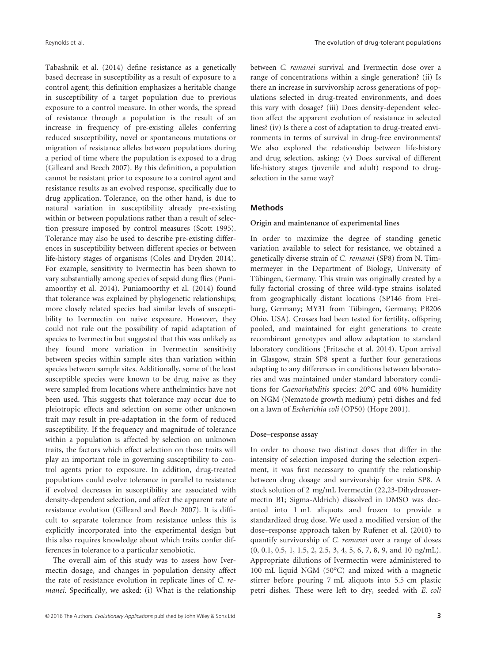Tabashnik et al. (2014) define resistance as a genetically based decrease in susceptibility as a result of exposure to a control agent; this definition emphasizes a heritable change in susceptibility of a target population due to previous exposure to a control measure. In other words, the spread of resistance through a population is the result of an increase in frequency of pre-existing alleles conferring reduced susceptibility, novel or spontaneous mutations or migration of resistance alleles between populations during a period of time where the population is exposed to a drug (Gilleard and Beech 2007). By this definition, a population cannot be resistant prior to exposure to a control agent and resistance results as an evolved response, specifically due to drug application. Tolerance, on the other hand, is due to natural variation in susceptibility already pre-existing within or between populations rather than a result of selection pressure imposed by control measures (Scott 1995). Tolerance may also be used to describe pre-existing differences in susceptibility between different species or between life-history stages of organisms (Coles and Dryden 2014). For example, sensitivity to Ivermectin has been shown to vary substantially among species of sepsid dung flies (Puniamoorthy et al. 2014). Puniamoorthy et al. (2014) found that tolerance was explained by phylogenetic relationships; more closely related species had similar levels of susceptibility to Ivermectin on naive exposure. However, they could not rule out the possibility of rapid adaptation of species to Ivermectin but suggested that this was unlikely as they found more variation in Ivermectin sensitivity between species within sample sites than variation within species between sample sites. Additionally, some of the least susceptible species were known to be drug naive as they were sampled from locations where anthelmintics have not been used. This suggests that tolerance may occur due to pleiotropic effects and selection on some other unknown trait may result in pre-adaptation in the form of reduced susceptibility. If the frequency and magnitude of tolerance within a population is affected by selection on unknown traits, the factors which effect selection on those traits will play an important role in governing susceptibility to control agents prior to exposure. In addition, drug-treated populations could evolve tolerance in parallel to resistance if evolved decreases in susceptibility are associated with density-dependent selection, and affect the apparent rate of resistance evolution (Gilleard and Beech 2007). It is difficult to separate tolerance from resistance unless this is explicitly incorporated into the experimental design but this also requires knowledge about which traits confer differences in tolerance to a particular xenobiotic.

The overall aim of this study was to assess how Ivermectin dosage, and changes in population density affect the rate of resistance evolution in replicate lines of C. remanei. Specifically, we asked: (i) What is the relationship between C. remanei survival and Ivermectin dose over a range of concentrations within a single generation? (ii) Is there an increase in survivorship across generations of populations selected in drug-treated environments, and does this vary with dosage? (iii) Does density-dependent selection affect the apparent evolution of resistance in selected lines? (iv) Is there a cost of adaptation to drug-treated environments in terms of survival in drug-free environments? We also explored the relationship between life-history and drug selection, asking: (v) Does survival of different life-history stages (juvenile and adult) respond to drugselection in the same way?

#### Methods

## Origin and maintenance of experimental lines

In order to maximize the degree of standing genetic variation available to select for resistance, we obtained a genetically diverse strain of C. remanei (SP8) from N. Timmermeyer in the Department of Biology, University of Tübingen, Germany. This strain was originally created by a fully factorial crossing of three wild-type strains isolated from geographically distant locations (SP146 from Freiburg, Germany; MY31 from Tübingen, Germany; PB206 Ohio, USA). Crosses had been tested for fertility, offspring pooled, and maintained for eight generations to create recombinant genotypes and allow adaptation to standard laboratory conditions (Fritzsche et al. 2014). Upon arrival in Glasgow, strain SP8 spent a further four generations adapting to any differences in conditions between laboratories and was maintained under standard laboratory conditions for Caenorhabditis species: 20°C and 60% humidity on NGM (Nematode growth medium) petri dishes and fed on a lawn of Escherichia coli (OP50) (Hope 2001).

#### Dose–response assay

In order to choose two distinct doses that differ in the intensity of selection imposed during the selection experiment, it was first necessary to quantify the relationship between drug dosage and survivorship for strain SP8. A stock solution of 2 mg/mL Ivermectin (22,23-Dihydroavermectin B1; Sigma-Aldrich) dissolved in DMSO was decanted into 1 mL aliquots and frozen to provide a standardized drug dose. We used a modified version of the dose–response approach taken by Rufener et al. (2010) to quantify survivorship of C. remanei over a range of doses (0, 0.1, 0.5, 1, 1.5, 2, 2.5, 3, 4, 5, 6, 7, 8, 9, and 10 ng/mL). Appropriate dilutions of Ivermectin were administered to 100 mL liquid NGM (50°C) and mixed with a magnetic stirrer before pouring 7 mL aliquots into 5.5 cm plastic petri dishes. These were left to dry, seeded with E. coli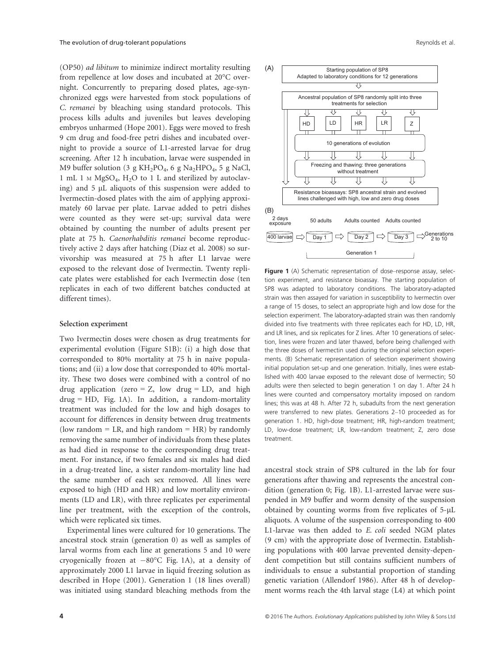(OP50) ad libitum to minimize indirect mortality resulting from repellence at low doses and incubated at 20°C overnight. Concurrently to preparing dosed plates, age-synchronized eggs were harvested from stock populations of C. remanei by bleaching using standard protocols. This process kills adults and juveniles but leaves developing embryos unharmed (Hope 2001). Eggs were moved to fresh 9 cm drug and food-free petri dishes and incubated overnight to provide a source of L1-arrested larvae for drug screening. After 12 h incubation, larvae were suspended in M9 buffer solution (3 g  $KH_2PO_4$ , 6 g Na<sub>2</sub>HPO<sub>4</sub>, 5 g NaCl, 1 mL 1 <sup>M</sup> MgSO4, H2O to 1 L and sterilized by autoclaving) and  $5 \mu L$  aliquots of this suspension were added to Ivermectin-dosed plates with the aim of applying approximately 60 larvae per plate. Larvae added to petri dishes were counted as they were set-up; survival data were obtained by counting the number of adults present per plate at 75 h. Caenorhabditis remanei become reproductively active 2 days after hatching (Diaz et al. 2008) so survivorship was measured at 75 h after L1 larvae were exposed to the relevant dose of Ivermectin. Twenty replicate plates were established for each Ivermectin dose (ten replicates in each of two different batches conducted at different times).

#### Selection experiment

Two Ivermectin doses were chosen as drug treatments for experimental evolution (Figure S1B): (i) a high dose that corresponded to 80% mortality at 75 h in naive populations; and (ii) a low dose that corresponded to 40% mortality. These two doses were combined with a control of no drug application (zero =  $Z$ , low drug = LD, and high  $drug = HD$ , Fig. 1A). In addition, a random-mortality treatment was included for the low and high dosages to account for differences in density between drug treatments (low random  $=$  LR, and high random  $=$  HR) by randomly removing the same number of individuals from these plates as had died in response to the corresponding drug treatment. For instance, if two females and six males had died in a drug-treated line, a sister random-mortality line had the same number of each sex removed. All lines were exposed to high (HD and HR) and low mortality environments (LD and LR), with three replicates per experimental line per treatment, with the exception of the controls, which were replicated six times.

Experimental lines were cultured for 10 generations. The ancestral stock strain (generation 0) as well as samples of larval worms from each line at generations 5 and 10 were cryogenically frozen at  $-80^{\circ}$ C Fig. 1A), at a density of approximately 2000 L1 larvae in liquid freezing solution as described in Hope (2001). Generation 1 (18 lines overall) was initiated using standard bleaching methods from the



Figure 1 (A) Schematic representation of dose–response assay, selection experiment, and resistance bioassay. The starting population of SP8 was adapted to laboratory conditions. The laboratory-adapted strain was then assayed for variation in susceptibility to Ivermectin over a range of 15 doses, to select an appropriate high and low dose for the selection experiment. The laboratory-adapted strain was then randomly divided into five treatments with three replicates each for HD, LD, HR, and LR lines, and six replicates for Z lines. After 10 generations of selection, lines were frozen and later thawed, before being challenged with the three doses of Ivermectin used during the original selection experiments. (B) Schematic representation of selection experiment showing initial population set-up and one generation. Initially, lines were established with 400 larvae exposed to the relevant dose of Ivermectin; 50 adults were then selected to begin generation 1 on day 1. After 24 h lines were counted and compensatory mortality imposed on random lines; this was at 48 h. After 72 h, subadults from the next generation were transferred to new plates. Generations 2–10 proceeded as for generation 1. HD, high-dose treatment; HR, high-random treatment; LD, low-dose treatment; LR, low-random treatment; Z, zero dose treatment.

ancestral stock strain of SP8 cultured in the lab for four generations after thawing and represents the ancestral condition (generation 0; Fig. 1B). L1-arrested larvae were suspended in M9 buffer and worm density of the suspension obtained by counting worms from five replicates of  $5-\mu L$ aliquots. A volume of the suspension corresponding to 400 L1-larvae was then added to E. coli seeded NGM plates (9 cm) with the appropriate dose of Ivermectin. Establishing populations with 400 larvae prevented density-dependent competition but still contains sufficient numbers of individuals to ensue a substantial proportion of standing genetic variation (Allendorf 1986). After 48 h of development worms reach the 4th larval stage (L4) at which point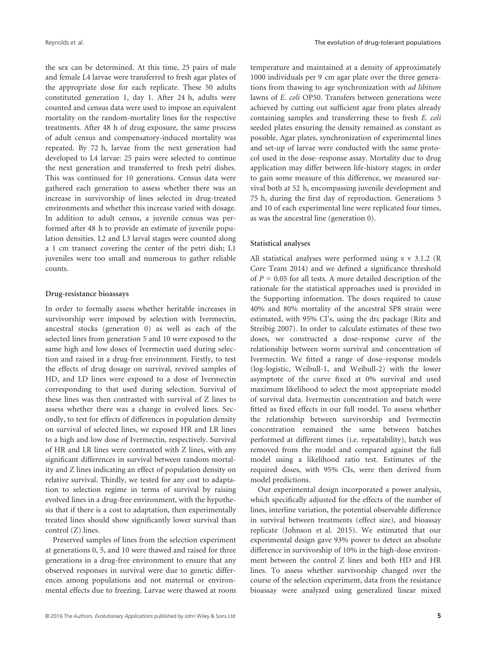the sex can be determined. At this time, 25 pairs of male and female L4 larvae were transferred to fresh agar plates of the appropriate dose for each replicate. These 50 adults constituted generation 1, day 1. After 24 h, adults were counted and census data were used to impose an equivalent mortality on the random-mortality lines for the respective treatments. After 48 h of drug exposure, the same process of adult census and compensatory-induced mortality was repeated. By 72 h, larvae from the next generation had developed to L4 larvae: 25 pairs were selected to continue the next generation and transferred to fresh petri dishes. This was continued for 10 generations. Census data were gathered each generation to assess whether there was an increase in survivorship of lines selected in drug-treated environments and whether this increase varied with dosage. In addition to adult census, a juvenile census was performed after 48 h to provide an estimate of juvenile population densities. L2 and L3 larval stages were counted along a 1 cm transect covering the center of the petri dish; L1 juveniles were too small and numerous to gather reliable counts.

## Drug-resistance bioassays

In order to formally assess whether heritable increases in survivorship were imposed by selection with Ivermectin, ancestral stocks (generation 0) as well as each of the selected lines from generation 5 and 10 were exposed to the same high and low doses of Ivermectin used during selection and raised in a drug-free environment. Firstly, to test the effects of drug dosage on survival, revived samples of HD, and LD lines were exposed to a dose of Ivermectin corresponding to that used during selection. Survival of these lines was then contrasted with survival of Z lines to assess whether there was a change in evolved lines. Secondly, to test for effects of differences in population density on survival of selected lines, we exposed HR and LR lines to a high and low dose of Ivermectin, respectively. Survival of HR and LR lines were contrasted with Z lines, with any significant differences in survival between random mortality and Z lines indicating an effect of population density on relative survival. Thirdly, we tested for any cost to adaptation to selection regime in terms of survival by raising evolved lines in a drug-free environment, with the hypothesis that if there is a cost to adaptation, then experimentally treated lines should show significantly lower survival than control (Z) lines.

Preserved samples of lines from the selection experiment at generations 0, 5, and 10 were thawed and raised for three generations in a drug-free environment to ensure that any observed responses in survival were due to genetic differences among populations and not maternal or environmental effects due to freezing. Larvae were thawed at room

temperature and maintained at a density of approximately 1000 individuals per 9 cm agar plate over the three generations from thawing to age synchronization with ad libitum lawns of E. coli OP50. Transfers between generations were achieved by cutting out sufficient agar from plates already containing samples and transferring these to fresh E. coli seeded plates ensuring the density remained as constant as possible. Agar plates, synchronization of experimental lines and set-up of larvae were conducted with the same protocol used in the dose–response assay. Mortality due to drug application may differ between life-history stages; in order to gain some measure of this difference, we measured survival both at 52 h, encompassing juvenile development and 75 h, during the first day of reproduction. Generations 5 and 10 of each experimental line were replicated four times, as was the ancestral line (generation 0).

#### Statistical analyses

All statistical analyses were performed using <sup>R</sup> v 3.1.2 (R Core Team 2014) and we defined a significance threshold of  $P = 0.05$  for all tests. A more detailed description of the rationale for the statistical approaches used is provided in the Supporting information. The doses required to cause 40% and 80% mortality of the ancestral SP8 strain were estimated, with 95% CI's, using the drc package (Ritz and Streibig 2007). In order to calculate estimates of these two doses, we constructed a dose–response curve of the relationship between worm survival and concentration of Ivermectin. We fitted a range of dose–response models (log-logistic, Weibull-1, and Weibull-2) with the lower asymptote of the curve fixed at 0% survival and used maximum likelihood to select the most appropriate model of survival data. Ivermectin concentration and batch were fitted as fixed effects in our full model. To assess whether the relationship between survivorship and Ivermectin concentration remained the same between batches performed at different times (i.e. repeatability), batch was removed from the model and compared against the full model using a likelihood ratio test. Estimates of the required doses, with 95% CIs, were then derived from model predictions.

Our experimental design incorporated a power analysis, which specifically adjusted for the effects of the number of lines, interline variation, the potential observable difference in survival between treatments (effect size), and bioassay replicate (Johnson et al. 2015). We estimated that our experimental design gave 93% power to detect an absolute difference in survivorship of 10% in the high-dose environment between the control Z lines and both HD and HR lines. To assess whether survivorship changed over the course of the selection experiment, data from the resistance bioassay were analyzed using generalized linear mixed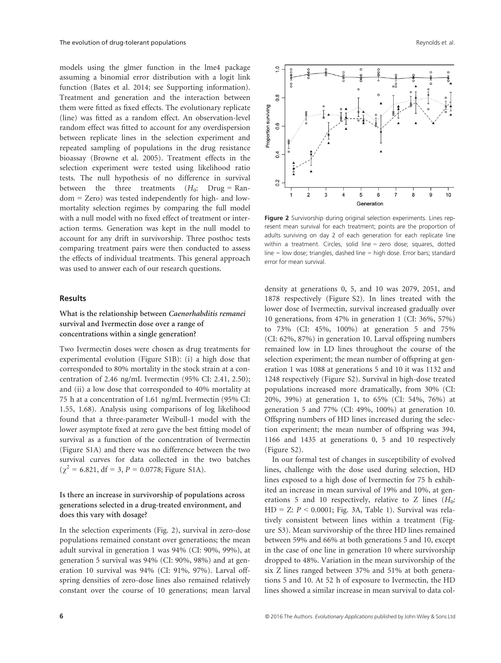models using the glmer function in the lme4 package assuming a binomial error distribution with a logit link function (Bates et al. 2014; see Supporting information). Treatment and generation and the interaction between them were fitted as fixed effects. The evolutionary replicate (line) was fitted as a random effect. An observation-level random effect was fitted to account for any overdispersion between replicate lines in the selection experiment and repeated sampling of populations in the drug resistance bioassay (Browne et al. 2005). Treatment effects in the selection experiment were tested using likelihood ratio tests. The null hypothesis of no difference in survival between the three treatments  $(H_0: \text{ Drug} = \text{Ran}$ dom = Zero) was tested independently for high- and lowmortality selection regimes by comparing the full model with a null model with no fixed effect of treatment or interaction terms. Generation was kept in the null model to account for any drift in survivorship. Three posthoc tests comparing treatment pairs were then conducted to assess the effects of individual treatments. This general approach was used to answer each of our research questions.

## Results

## What is the relationship between Caenorhabditis remanei survival and Ivermectin dose over a range of concentrations within a single generation?

Two Ivermectin doses were chosen as drug treatments for experimental evolution (Figure S1B): (i) a high dose that corresponded to 80% mortality in the stock strain at a concentration of 2.46 ng/mL Ivermectin (95% CI: 2.41, 2.50); and (ii) a low dose that corresponded to 40% mortality at 75 h at a concentration of 1.61 ng/mL Ivermectin (95% CI: 1.55, 1.68). Analysis using comparisons of log likelihood found that a three-parameter Weibull-1 model with the lower asymptote fixed at zero gave the best fitting model of survival as a function of the concentration of Ivermectin (Figure S1A) and there was no difference between the two survival curves for data collected in the two batches  $(\chi^2 = 6.821, df = 3, P = 0.0778; Figure S1A).$ 

## Is there an increase in survivorship of populations across generations selected in a drug-treated environment, and does this vary with dosage?

In the selection experiments (Fig. 2), survival in zero-dose populations remained constant over generations; the mean adult survival in generation 1 was 94% (CI: 90%, 99%), at generation 5 survival was 94% (CI: 90%, 98%) and at generation 10 survival was 94% (CI: 91%, 97%). Larval offspring densities of zero-dose lines also remained relatively constant over the course of 10 generations; mean larval



Figure 2 Survivorship during original selection experiments. Lines represent mean survival for each treatment; points are the proportion of adults surviving on day 2 of each generation for each replicate line within a treatment. Circles, solid line = zero dose; squares, dotted line = low dose; triangles, dashed line = high dose. Error bars; standard error for mean survival.

density at generations 0, 5, and 10 was 2079, 2051, and 1878 respectively (Figure S2). In lines treated with the lower dose of Ivermectin, survival increased gradually over 10 generations, from 47% in generation 1 (CI: 36%, 57%) to 73% (CI: 45%, 100%) at generation 5 and 75% (CI: 62%, 87%) in generation 10. Larval offspring numbers remained low in LD lines throughout the course of the selection experiment; the mean number of offspring at generation 1 was 1088 at generations 5 and 10 it was 1132 and 1248 respectively (Figure S2). Survival in high-dose treated populations increased more dramatically, from 30% (CI: 20%, 39%) at generation 1, to 65% (CI: 54%, 76%) at generation 5 and 77% (CI: 49%, 100%) at generation 10. Offspring numbers of HD lines increased during the selection experiment; the mean number of offspring was 394, 1166 and 1435 at generations 0, 5 and 10 respectively (Figure S2).

In our formal test of changes in susceptibility of evolved lines, challenge with the dose used during selection, HD lines exposed to a high dose of Ivermectin for 75 h exhibited an increase in mean survival of 19% and 10%, at generations 5 and 10 respectively, relative to Z lines  $(H_0:$  $HD = Z: P \leq 0.0001$ ; Fig. 3A, Table 1). Survival was relatively consistent between lines within a treatment (Figure S3). Mean survivorship of the three HD lines remained between 59% and 66% at both generations 5 and 10, except in the case of one line in generation 10 where survivorship dropped to 48%. Variation in the mean survivorship of the six Z lines ranged between 37% and 51% at both generations 5 and 10. At 52 h of exposure to Ivermectin, the HD lines showed a similar increase in mean survival to data col-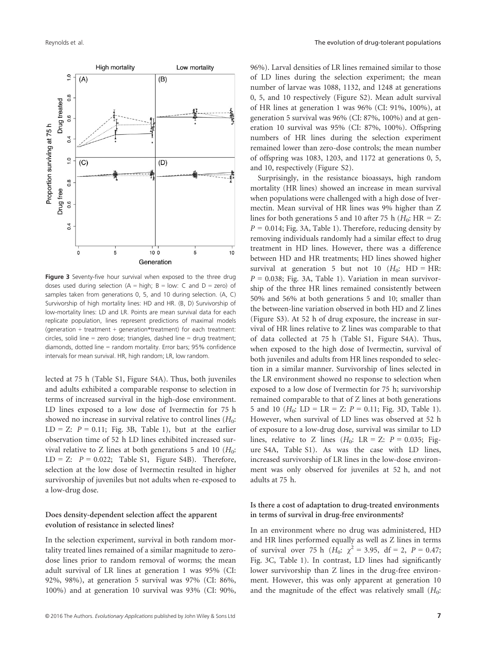

Figure 3 Seventy-five hour survival when exposed to the three drug doses used during selection  $(A = high; B = low; C and D = zero)$  of samples taken from generations 0, 5, and 10 during selection. (A, C) Survivorship of high mortality lines: HD and HR. (B, D) Survivorship of low-mortality lines: LD and LR. Points are mean survival data for each replicate population, lines represent predictions of maximal models (generation + treatment + generation\*treatment) for each treatment: circles, solid line = zero dose; triangles, dashed line = drug treatment; diamonds, dotted line = random mortality. Error bars; 95% confidence intervals for mean survival. HR, high random; LR, low random.

lected at 75 h (Table S1, Figure S4A). Thus, both juveniles and adults exhibited a comparable response to selection in terms of increased survival in the high-dose environment. LD lines exposed to a low dose of Ivermectin for 75 h showed no increase in survival relative to control lines  $(H_0:$ LD = Z:  $P = 0.11$ ; Fig. 3B, Table 1), but at the earlier observation time of 52 h LD lines exhibited increased survival relative to Z lines at both generations 5 and 10  $(H_0:$  $LD = Z: P = 0.022;$  Table S1, Figure S4B). Therefore, selection at the low dose of Ivermectin resulted in higher survivorship of juveniles but not adults when re-exposed to a low-drug dose.

## Does density-dependent selection affect the apparent evolution of resistance in selected lines?

In the selection experiment, survival in both random mortality treated lines remained of a similar magnitude to zerodose lines prior to random removal of worms; the mean adult survival of LR lines at generation 1 was 95% (CI: 92%, 98%), at generation 5 survival was 97% (CI: 86%, 100%) and at generation 10 survival was 93% (CI: 90%,

96%). Larval densities of LR lines remained similar to those of LD lines during the selection experiment; the mean number of larvae was 1088, 1132, and 1248 at generations 0, 5, and 10 respectively (Figure S2). Mean adult survival of HR lines at generation 1 was 96% (CI: 91%, 100%), at generation 5 survival was 96% (CI: 87%, 100%) and at generation 10 survival was 95% (CI: 87%, 100%). Offspring numbers of HR lines during the selection experiment remained lower than zero-dose controls; the mean number of offspring was 1083, 1203, and 1172 at generations 0, 5, and 10, respectively (Figure S2).

Surprisingly, in the resistance bioassays, high random mortality (HR lines) showed an increase in mean survival when populations were challenged with a high dose of Ivermectin. Mean survival of HR lines was 9% higher than Z lines for both generations 5 and 10 after 75 h ( $H_0$ : HR = Z:  $P = 0.014$ ; Fig. 3A, Table 1). Therefore, reducing density by removing individuals randomly had a similar effect to drug treatment in HD lines. However, there was a difference between HD and HR treatments; HD lines showed higher survival at generation 5 but not 10 ( $H_0$ : HD = HR:  $P = 0.038$ ; Fig. 3A, Table 1). Variation in mean survivorship of the three HR lines remained consistently between 50% and 56% at both generations 5 and 10; smaller than the between-line variation observed in both HD and Z lines (Figure S3). At 52 h of drug exposure, the increase in survival of HR lines relative to Z lines was comparable to that of data collected at 75 h (Table S1, Figure S4A). Thus, when exposed to the high dose of Ivermectin, survival of both juveniles and adults from HR lines responded to selection in a similar manner. Survivorship of lines selected in the LR environment showed no response to selection when exposed to a low dose of Ivermectin for 75 h; survivorship remained comparable to that of Z lines at both generations 5 and 10 ( $H_0$ : LD = LR = Z:  $P = 0.11$ ; Fig. 3D, Table 1). However, when survival of LD lines was observed at 52 h of exposure to a low-drug dose, survival was similar to LD lines, relative to Z lines  $(H_0: \text{LR} = \text{Z: } P = 0.035; \text{ Fig-}$ ure S4A, Table S1). As was the case with LD lines, increased survivorship of LR lines in the low-dose environment was only observed for juveniles at 52 h, and not adults at 75 h.

## Is there a cost of adaptation to drug-treated environments in terms of survival in drug-free environments?

In an environment where no drug was administered, HD and HR lines performed equally as well as Z lines in terms of survival over 75 h ( $H_0$ :  $\chi^2 = 3.95$ , df = 2, P = 0.47; Fig. 3C, Table 1). In contrast, LD lines had significantly lower survivorship than Z lines in the drug-free environment. However, this was only apparent at generation 10 and the magnitude of the effect was relatively small  $(H_0:$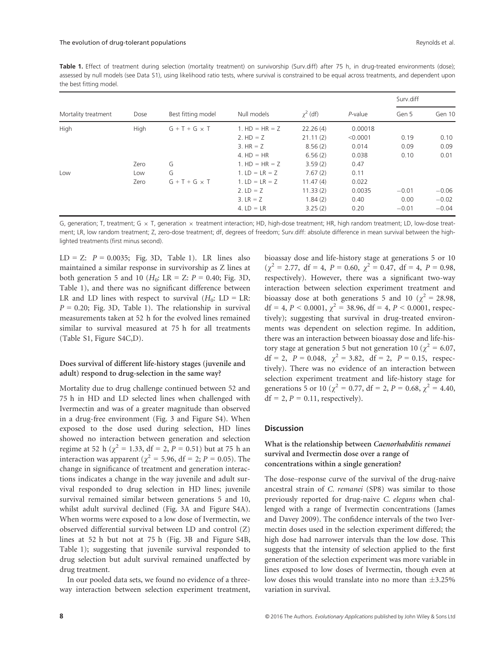Table 1. Effect of treatment during selection (mortality treatment) on survivorship (Surv.diff) after 75 h, in drug-treated environments (dose); assessed by null models (see Data S1), using likelihood ratio tests, where survival is constrained to be equal across treatments, and dependent upon the best fitting model.

| Mortality treatment | Dose | Best fitting model   | Null models      | $\gamma^2$ (df) | $P$ -value | Surv.diff |         |
|---------------------|------|----------------------|------------------|-----------------|------------|-----------|---------|
|                     |      |                      |                  |                 |            | Gen 5     | Gen 10  |
| High                | High | $G + T + G \times T$ | 1. $HD = HR = Z$ | 22.26(4)        | 0.00018    |           |         |
|                     |      |                      | 2. $HD = Z$      | 21.11(2)        | < 0.0001   | 0.19      | 0.10    |
|                     |      |                      | $3. HR = Z$      | 8.56(2)         | 0.014      | 0.09      | 0.09    |
|                     |      |                      | $4. HD = HR$     | 6,56(2)         | 0.038      | 0.10      | 0.01    |
|                     | Zero | G                    | 1. $HD = HR = Z$ | 3.59(2)         | 0.47       |           |         |
| Low                 | Low  | G                    | 1. $LD = LR = Z$ | 7.67(2)         | 0.11       |           |         |
|                     | Zero | $G + T + G \times T$ | 1. $LD = LR = Z$ | 11.47(4)        | 0.022      |           |         |
|                     |      |                      | 2. $LD = Z$      | 11.33(2)        | 0.0035     | $-0.01$   | $-0.06$ |
|                     |      |                      | 3. $LR = Z$      | 1.84(2)         | 0.40       | 0.00      | $-0.02$ |
|                     |      |                      | 4. $LD = LR$     | 3.25(2)         | 0.20       | $-0.01$   | $-0.04$ |

G, generation; T, treatment; G  $\times$  T, generation  $\times$  treatment interaction; HD, high-dose treatment; HR, high random treatment; LD, low-dose treatment; LR, low random treatment; Z, zero-dose treatment; df, degrees of freedom; Surv.diff: absolute difference in mean survival between the highlighted treatments (first minus second).

LD = Z:  $P = 0.0035$ ; Fig. 3D, Table 1). LR lines also maintained a similar response in survivorship as Z lines at both generation 5 and 10 ( $H_0$ : LR = Z:  $P = 0.40$ ; Fig. 3D, Table 1), and there was no significant difference between LR and LD lines with respect to survival  $(H_0: LD = LR:$  $P = 0.20$ ; Fig. 3D, Table 1). The relationship in survival measurements taken at 52 h for the evolved lines remained similar to survival measured at 75 h for all treatments (Table S1, Figure S4C,D).

## Does survival of different life-history stages (juvenile and adult) respond to drug-selection in the same way?

Mortality due to drug challenge continued between 52 and 75 h in HD and LD selected lines when challenged with Ivermectin and was of a greater magnitude than observed in a drug-free environment (Fig. 3 and Figure S4). When exposed to the dose used during selection, HD lines showed no interaction between generation and selection regime at 52 h ( $\chi^2$  = 1.33, df = 2, P = 0.51) but at 75 h an interaction was apparent ( $\chi^2$  = 5.96, df = 2; P = 0.05). The change in significance of treatment and generation interactions indicates a change in the way juvenile and adult survival responded to drug selection in HD lines; juvenile survival remained similar between generations 5 and 10, whilst adult survival declined (Fig. 3A and Figure S4A). When worms were exposed to a low dose of Ivermectin, we observed differential survival between LD and control (Z) lines at 52 h but not at 75 h (Fig. 3B and Figure S4B, Table 1); suggesting that juvenile survival responded to drug selection but adult survival remained unaffected by drug treatment.

In our pooled data sets, we found no evidence of a threeway interaction between selection experiment treatment, bioassay dose and life-history stage at generations 5 or 10  $(\chi^2 = 2.77, df = 4, P = 0.60, \chi^2 = 0.47, df = 4, P = 0.98,$ respectively). However, there was a significant two-way interaction between selection experiment treatment and bioassay dose at both generations 5 and 10 ( $\chi^2$  = 28.98, df = 4,  $P < 0.0001$ ,  $\chi^2 = 38.96$ , df = 4,  $P < 0.0001$ , respectively); suggesting that survival in drug-treated environments was dependent on selection regime. In addition, there was an interaction between bioassay dose and life-history stage at generation 5 but not generation 10 ( $\chi^2$  = 6.07, df = 2,  $P = 0.048$ ,  $\chi^2 = 3.82$ , df = 2,  $P = 0.15$ , respectively). There was no evidence of an interaction between selection experiment treatment and life-history stage for generations 5 or 10 ( $\chi^2$  = 0.77, df = 2, P = 0.68,  $\chi^2$  = 4.40,  $df = 2, P = 0.11$ , respectively).

## **Discussion**

# What is the relationship between Caenorhabditis remanei survival and Ivermectin dose over a range of concentrations within a single generation?

The dose–response curve of the survival of the drug-naive ancestral strain of C. remanei (SP8) was similar to those previously reported for drug-naive C. elegans when challenged with a range of Ivermectin concentrations (James and Davey 2009). The confidence intervals of the two Ivermectin doses used in the selection experiment differed; the high dose had narrower intervals than the low dose. This suggests that the intensity of selection applied to the first generation of the selection experiment was more variable in lines exposed to low doses of Ivermectin, though even at low doses this would translate into no more than  $\pm$ 3.25% variation in survival.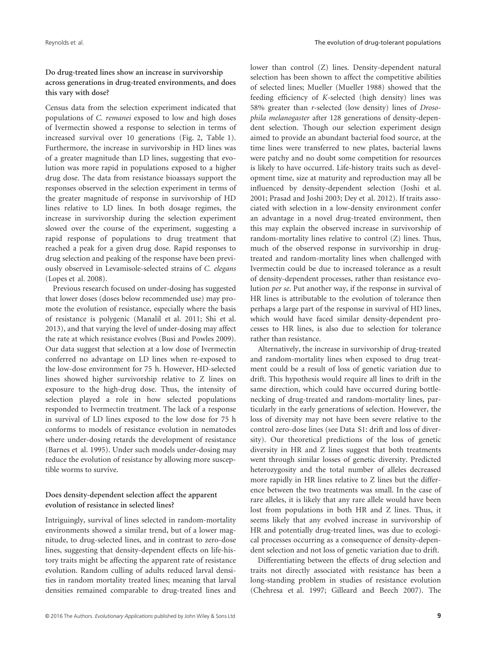## Do drug-treated lines show an increase in survivorship across generations in drug-treated environments, and does this vary with dose?

Census data from the selection experiment indicated that populations of C. remanei exposed to low and high doses of Ivermectin showed a response to selection in terms of increased survival over 10 generations (Fig. 2, Table 1). Furthermore, the increase in survivorship in HD lines was of a greater magnitude than LD lines, suggesting that evolution was more rapid in populations exposed to a higher drug dose. The data from resistance bioassays support the responses observed in the selection experiment in terms of the greater magnitude of response in survivorship of HD lines relative to LD lines. In both dosage regimes, the increase in survivorship during the selection experiment slowed over the course of the experiment, suggesting a rapid response of populations to drug treatment that reached a peak for a given drug dose. Rapid responses to drug selection and peaking of the response have been previously observed in Levamisole-selected strains of C. elegans (Lopes et al. 2008).

Previous research focused on under-dosing has suggested that lower doses (doses below recommended use) may promote the evolution of resistance, especially where the basis of resistance is polygenic (Manalil et al. 2011; Shi et al. 2013), and that varying the level of under-dosing may affect the rate at which resistance evolves (Busi and Powles 2009). Our data suggest that selection at a low dose of Ivermectin conferred no advantage on LD lines when re-exposed to the low-dose environment for 75 h. However, HD-selected lines showed higher survivorship relative to Z lines on exposure to the high-drug dose. Thus, the intensity of selection played a role in how selected populations responded to Ivermectin treatment. The lack of a response in survival of LD lines exposed to the low dose for 75 h conforms to models of resistance evolution in nematodes where under-dosing retards the development of resistance (Barnes et al. 1995). Under such models under-dosing may reduce the evolution of resistance by allowing more susceptible worms to survive.

## Does density-dependent selection affect the apparent evolution of resistance in selected lines?

Intriguingly, survival of lines selected in random-mortality environments showed a similar trend, but of a lower magnitude, to drug-selected lines, and in contrast to zero-dose lines, suggesting that density-dependent effects on life-history traits might be affecting the apparent rate of resistance evolution. Random culling of adults reduced larval densities in random mortality treated lines; meaning that larval densities remained comparable to drug-treated lines and

lower than control (Z) lines. Density-dependent natural selection has been shown to affect the competitive abilities of selected lines; Mueller (Mueller 1988) showed that the feeding efficiency of K-selected (high density) lines was 58% greater than r-selected (low density) lines of Drosophila melanogaster after 128 generations of density-dependent selection. Though our selection experiment design aimed to provide an abundant bacterial food source, at the time lines were transferred to new plates, bacterial lawns were patchy and no doubt some competition for resources is likely to have occurred. Life-history traits such as development time, size at maturity and reproduction may all be influenced by density-dependent selection (Joshi et al. 2001; Prasad and Joshi 2003; Dey et al. 2012). If traits associated with selection in a low-density environment confer an advantage in a novel drug-treated environment, then this may explain the observed increase in survivorship of random-mortality lines relative to control (Z) lines. Thus, much of the observed response in survivorship in drugtreated and random-mortality lines when challenged with Ivermectin could be due to increased tolerance as a result of density-dependent processes, rather than resistance evolution per se. Put another way, if the response in survival of HR lines is attributable to the evolution of tolerance then perhaps a large part of the response in survival of HD lines, which would have faced similar density-dependent processes to HR lines, is also due to selection for tolerance rather than resistance.

Alternatively, the increase in survivorship of drug-treated and random-mortality lines when exposed to drug treatment could be a result of loss of genetic variation due to drift. This hypothesis would require all lines to drift in the same direction, which could have occurred during bottlenecking of drug-treated and random-mortality lines, particularly in the early generations of selection. However, the loss of diversity may not have been severe relative to the control zero-dose lines (see Data S1: drift and loss of diversity). Our theoretical predictions of the loss of genetic diversity in HR and Z lines suggest that both treatments went through similar losses of genetic diversity. Predicted heterozygosity and the total number of alleles decreased more rapidly in HR lines relative to Z lines but the difference between the two treatments was small. In the case of rare alleles, it is likely that any rare allele would have been lost from populations in both HR and Z lines. Thus, it seems likely that any evolved increase in survivorship of HR and potentially drug-treated lines, was due to ecological processes occurring as a consequence of density-dependent selection and not loss of genetic variation due to drift.

Differentiating between the effects of drug selection and traits not directly associated with resistance has been a long-standing problem in studies of resistance evolution (Chehresa et al. 1997; Gilleard and Beech 2007). The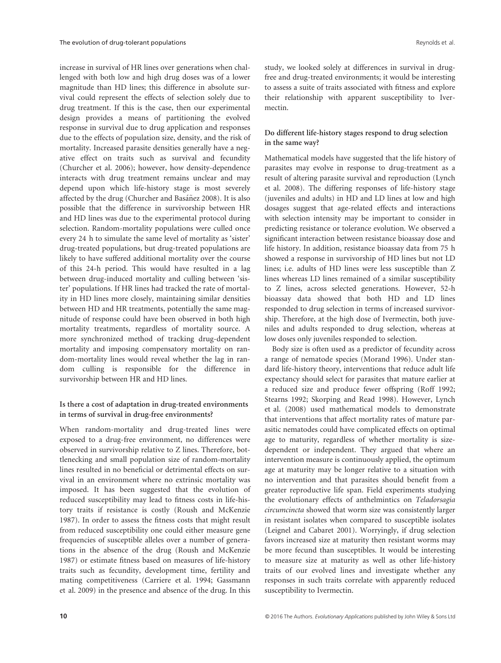increase in survival of HR lines over generations when challenged with both low and high drug doses was of a lower magnitude than HD lines; this difference in absolute survival could represent the effects of selection solely due to drug treatment. If this is the case, then our experimental design provides a means of partitioning the evolved response in survival due to drug application and responses due to the effects of population size, density, and the risk of mortality. Increased parasite densities generally have a negative effect on traits such as survival and fecundity (Churcher et al. 2006); however, how density-dependence interacts with drug treatment remains unclear and may depend upon which life-history stage is most severely affected by the drug (Churcher and Basáñez 2008). It is also possible that the difference in survivorship between HR and HD lines was due to the experimental protocol during selection. Random-mortality populations were culled once every 24 h to simulate the same level of mortality as 'sister' drug-treated populations, but drug-treated populations are likely to have suffered additional mortality over the course of this 24-h period. This would have resulted in a lag between drug-induced mortality and culling between 'sister' populations. If HR lines had tracked the rate of mortality in HD lines more closely, maintaining similar densities between HD and HR treatments, potentially the same magnitude of response could have been observed in both high mortality treatments, regardless of mortality source. A more synchronized method of tracking drug-dependent mortality and imposing compensatory mortality on random-mortality lines would reveal whether the lag in random culling is responsible for the difference in survivorship between HR and HD lines.

## Is there a cost of adaptation in drug-treated environments in terms of survival in drug-free environments?

When random-mortality and drug-treated lines were exposed to a drug-free environment, no differences were observed in survivorship relative to Z lines. Therefore, bottlenecking and small population size of random-mortality lines resulted in no beneficial or detrimental effects on survival in an environment where no extrinsic mortality was imposed. It has been suggested that the evolution of reduced susceptibility may lead to fitness costs in life-history traits if resistance is costly (Roush and McKenzie 1987). In order to assess the fitness costs that might result from reduced susceptibility one could either measure gene frequencies of susceptible alleles over a number of generations in the absence of the drug (Roush and McKenzie 1987) or estimate fitness based on measures of life-history traits such as fecundity, development time, fertility and mating competitiveness (Carriere et al. 1994; Gassmann et al. 2009) in the presence and absence of the drug. In this

study, we looked solely at differences in survival in drugfree and drug-treated environments; it would be interesting to assess a suite of traits associated with fitness and explore their relationship with apparent susceptibility to Ivermectin.

## Do different life-history stages respond to drug selection in the same way?

Mathematical models have suggested that the life history of parasites may evolve in response to drug-treatment as a result of altering parasite survival and reproduction (Lynch et al. 2008). The differing responses of life-history stage (juveniles and adults) in HD and LD lines at low and high dosages suggest that age-related effects and interactions with selection intensity may be important to consider in predicting resistance or tolerance evolution. We observed a significant interaction between resistance bioassay dose and life history. In addition, resistance bioassay data from 75 h showed a response in survivorship of HD lines but not LD lines; i.e. adults of HD lines were less susceptible than Z lines whereas LD lines remained of a similar susceptibility to Z lines, across selected generations. However, 52-h bioassay data showed that both HD and LD lines responded to drug selection in terms of increased survivorship. Therefore, at the high dose of Ivermectin, both juveniles and adults responded to drug selection, whereas at low doses only juveniles responded to selection.

Body size is often used as a predictor of fecundity across a range of nematode species (Morand 1996). Under standard life-history theory, interventions that reduce adult life expectancy should select for parasites that mature earlier at a reduced size and produce fewer offspring (Roff 1992; Stearns 1992; Skorping and Read 1998). However, Lynch et al. (2008) used mathematical models to demonstrate that interventions that affect mortality rates of mature parasitic nematodes could have complicated effects on optimal age to maturity, regardless of whether mortality is sizedependent or independent. They argued that where an intervention measure is continuously applied, the optimum age at maturity may be longer relative to a situation with no intervention and that parasites should benefit from a greater reproductive life span. Field experiments studying the evolutionary effects of anthelmintics on Teladorsagia circumcincta showed that worm size was consistently larger in resistant isolates when compared to susceptible isolates (Leignel and Cabaret 2001). Worryingly, if drug selection favors increased size at maturity then resistant worms may be more fecund than susceptibles. It would be interesting to measure size at maturity as well as other life-history traits of our evolved lines and investigate whether any responses in such traits correlate with apparently reduced susceptibility to Ivermectin.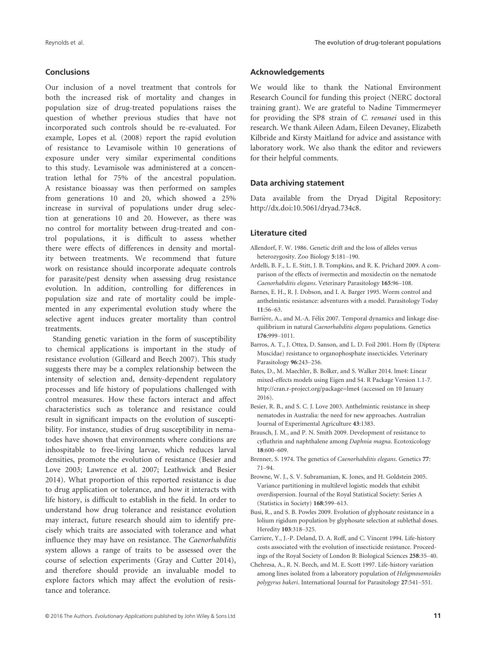## Conclusions

Our inclusion of a novel treatment that controls for both the increased risk of mortality and changes in population size of drug-treated populations raises the question of whether previous studies that have not incorporated such controls should be re-evaluated. For example, Lopes et al. (2008) report the rapid evolution of resistance to Levamisole within 10 generations of exposure under very similar experimental conditions to this study. Levamisole was administered at a concentration lethal for 75% of the ancestral population. A resistance bioassay was then performed on samples from generations 10 and 20, which showed a 25% increase in survival of populations under drug selection at generations 10 and 20. However, as there was no control for mortality between drug-treated and control populations, it is difficult to assess whether there were effects of differences in density and mortality between treatments. We recommend that future work on resistance should incorporate adequate controls for parasite/pest density when assessing drug resistance evolution. In addition, controlling for differences in population size and rate of mortality could be implemented in any experimental evolution study where the selective agent induces greater mortality than control treatments.

Standing genetic variation in the form of susceptibility to chemical applications is important in the study of resistance evolution (Gilleard and Beech 2007). This study suggests there may be a complex relationship between the intensity of selection and, density-dependent regulatory processes and life history of populations challenged with control measures. How these factors interact and affect characteristics such as tolerance and resistance could result in significant impacts on the evolution of susceptibility. For instance, studies of drug susceptibility in nematodes have shown that environments where conditions are inhospitable to free-living larvae, which reduces larval densities, promote the evolution of resistance (Besier and Love 2003; Lawrence et al. 2007; Leathwick and Besier 2014). What proportion of this reported resistance is due to drug application or tolerance, and how it interacts with life history, is difficult to establish in the field. In order to understand how drug tolerance and resistance evolution may interact, future research should aim to identify precisely which traits are associated with tolerance and what influence they may have on resistance. The Caenorhabditis system allows a range of traits to be assessed over the course of selection experiments (Gray and Cutter 2014), and therefore should provide an invaluable model to explore factors which may affect the evolution of resistance and tolerance.

#### Acknowledgements

We would like to thank the National Environment Research Council for funding this project (NERC doctoral training grant). We are grateful to Nadine Timmermeyer for providing the SP8 strain of C. remanei used in this research. We thank Aileen Adam, Eileen Devaney, Elizabeth Kilbride and Kirsty Maitland for advice and assistance with laboratory work. We also thank the editor and reviewers for their helpful comments.

#### Data archiving statement

Data available from the Dryad Digital Repository: <http://dx.doi:10.5061/dryad.734c8>.

#### Literature cited

- Allendorf, F. W. 1986. Genetic drift and the loss of alleles versus heterozygosity. Zoo Biology 5:181–190.
- Ardelli, B. F., L. E. Stitt, J. B. Tompkins, and R. K. Prichard 2009. A comparison of the effects of ivermectin and moxidectin on the nematode Caenorhabditis elegans. Veterinary Parasitology 165:96–108.
- Barnes, E. H., R. J. Dobson, and I. A. Barger 1995. Worm control and anthelmintic resistance: adventures with a model. Parasitology Today
- 11:56–63.<br>Barrière, A., and M.-A. Félix 2007. Temporal dynamics and linkage disequilibrium in natural Caenorhabditis elegans populations. Genetics 176:999–1011.
- Barros, A. T., J. Ottea, D. Sanson, and L. D. Foil 2001. Horn fly (Diptera: Muscidae) resistance to organophosphate insecticides. Veterinary Parasitology 96:243–256.
- Bates, D., M. Maechler, B. Bolker, and S. Walker 2014. lme4: Linear mixed-effects models using Eigen and S4. R Package Version 1.1-7. <http://cran.r-project.org/package=lme4> (accessed on 10 January 2016).
- Besier, R. B., and S. C. J. Love 2003. Anthelmintic resistance in sheep nematodes in Australia: the need for new approaches. Australian Journal of Experimental Agriculture 43:1383.
- Brausch, J. M., and P. N. Smith 2009. Development of resistance to cyfluthrin and naphthalene among Daphnia magna. Ecotoxicology 18:600–609.
- Brenner, S. 1974. The genetics of Caenorhabditis elegans. Genetics 77: 71–94.
- Browne, W. J., S. V. Subramanian, K. Jones, and H. Goldstein 2005. Variance partitioning in multilevel logistic models that exhibit overdispersion. Journal of the Royal Statistical Society: Series A (Statistics in Society) 168:599–613.
- Busi, R., and S. B. Powles 2009. Evolution of glyphosate resistance in a lolium rigidum population by glyphosate selection at sublethal doses. Heredity 103:318–325.
- Carriere, Y., J.-P. Deland, D. A. Roff, and C. Vincent 1994. Life-history costs associated with the evolution of insecticide resistance. Proceedings of the Royal Society of London B: Biological Sciences 258:35–40.
- Chehresa, A., R. N. Beech, and M. E. Scott 1997. Life-history variation among lines isolated from a laboratory population of Heligmosomoides polygyrus bakeri. International Journal for Parasitology 27:541–551.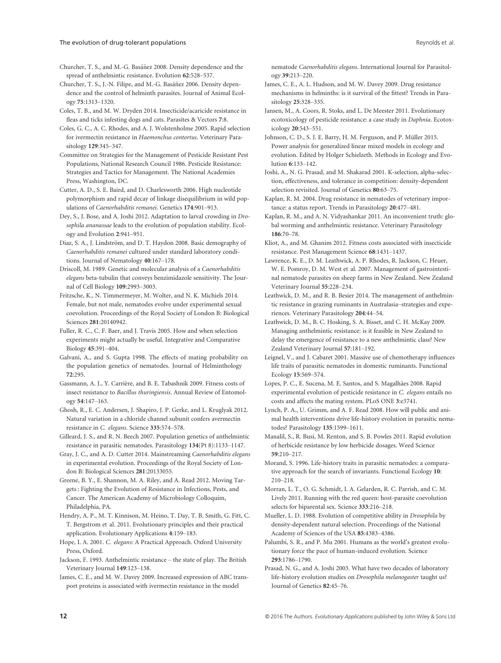#### The evolution of drug-tolerant populations and the second set al. All the evolution of drug-tolerant populations Reynolds et al.

Churcher, T. S., and M.-G. Basáñez 2008. Density dependence and the spread of anthelmintic resistance. Evolution 62:528–537.

Churcher, T. S., J.-N. Filipe, and M.-G. Basáñez 2006. Density dependence and the control of helminth parasites. Journal of Animal Ecol-

ogy 75:1313–1320. Coles, T. B., and M. W. Dryden 2014. Insecticide/acaricide resistance in fleas and ticks infesting dogs and cats. Parasites & Vectors 7:8.

Coles, G. C., A. C. Rhodes, and A. J. Wolstenholme 2005. Rapid selection for ivermectin resistance in Haemonchus contortus. Veterinary Parasitology 129:345–347.

Committee on Strategies for the Management of Pesticide Resistant Pest Populations, National Research Council 1986. Pesticide Resistance: Strategies and Tactics for Management. The National Academies Press, Washington, DC.

Cutter, A. D., S. E. Baird, and D. Charlesworth 2006. High nucleotide polymorphism and rapid decay of linkage disequilibrium in wild populations of Caenorhabditis remanei. Genetics 174:901–913.

Dey, S., J. Bose, and A. Joshi 2012. Adaptation to larval crowding in Drosophila ananassae leads to the evolution of population stability. Ecology and Evolution 2:941–951.

Diaz, S. A., J. Lindström, and D. T. Haydon 2008. Basic demography of Caenorhabditis remanei cultured under standard laboratory conditions. Journal of Nematology 40:167–178.

Driscoll, M. 1989. Genetic and molecular analysis of a Caenorhabditis elegans beta-tubulin that conveys benzimidazole sensitivity. The Journal of Cell Biology 109:2993–3003.

Fritzsche, K., N. Timmermeyer, M. Wolter, and N. K. Michiels 2014. Female, but not male, nematodes evolve under experimental sexual coevolution. Proceedings of the Royal Society of London B: Biological Sciences 281:20140942.

Fuller, R. C., C. F. Baer, and J. Travis 2005. How and when selection experiments might actually be useful. Integrative and Comparative Biology 45:391–404.

Galvani, A., and S. Gupta 1998. The effects of mating probability on the population genetics of nematodes. Journal of Helminthology 72:295.

Gassmann, A. J., Y. Carrière, and B. E. Tabashnik 2009. Fitness costs of insect resistance to Bacillus thuringiensis. Annual Review of Entomology 54:147–163.

Ghosh, R., E. C. Andersen, J. Shapiro, J. P. Gerke, and L. Kruglyak 2012. Natural variation in a chloride channel subunit confers avermectin resistance in C. elegans. Science 335:574–578.

Gilleard, J. S., and R. N. Beech 2007. Population genetics of anthelmintic resistance in parasitic nematodes. Parasitology 134(Pt 8):1133–1147.

Gray, J. C., and A. D. Cutter 2014. Mainstreaming Caenorhabditis elegans in experimental evolution. Proceedings of the Royal Society of London B: Biological Sciences 281:20133055.

Greene, B. Y., E. Shannon, M. A. Riley, and A. Read 2012. Moving Targets : Fighting the Evolution of Resistance in Infections, Pests, and Cancer. The American Academy of Microbiology Colloquim, Philadelphia, PA.

Hendry, A. P., M. T. Kinnison, M. Heino, T. Day, T. B. Smith, G. Fitt, C. T. Bergstrom et al. 2011. Evolutionary principles and their practical application. Evolutionary Applications 4:159–183.

Hope, I. A. 2001. C. elegans: A Practical Approach. Oxford University Press, Oxford.

Jackson, F. 1993. Anthelmintic resistance – the state of play. The British Veterinary Journal 149:123–138.

James, C. E., and M. W. Davey 2009. Increased expression of ABC transport proteins is associated with ivermectin resistance in the model

nematode Caenorhabditis elegans. International Journal for Parasitol-

- ogy 39:213–220. James, C. E., A. L. Hudson, and M. W. Davey 2009. Drug resistance mechanisms in helminths: is it survival of the fittest? Trends in Para-
- sitology 25:328–335. Jansen, M., A. Coors, R. Stoks, and L. De Meester 2011. Evolutionary ecotoxicology of pesticide resistance: a case study in Daphnia. Ecotoxicology 20:543–551.

Johnson, C. D., S. J. E. Barry, H. M. Ferguson, and P. Müller 2015. Power analysis for generalized linear mixed models in ecology and evolution. Edited by Holger Schielzeth. Methods in Ecology and Evolution 6:133–142.

Joshi, A., N. G. Prasad, and M. Shakarad 2001. K-selection, alpha-selection, effectiveness, and tolerance in competition: density-dependent selection revisited. Journal of Genetics 80:63–75.

Kaplan, R. M. 2004. Drug resistance in nematodes of veterinary importance: a status report. Trends in Parasitology 20:477–481.

Kaplan, R. M., and A. N. Vidyashankar 2011. An inconvenient truth: global worming and anthelmintic resistance. Veterinary Parasitology 186:70–78.

Kliot, A., and M. Ghanim 2012. Fitness costs associated with insecticide resistance. Pest Management Science 68:1431–1437.

Lawrence, K. E., D. M. Leathwick, A. P. Rhodes, R. Jackson, C. Heuer, W. E. Pomroy, D. M. West et al. 2007. Management of gastrointestinal nematode parasites on sheep farms in New Zealand. New Zealand Veterinary Journal 55:228–234.

Leathwick, D. M., and R. B. Besier 2014. The management of anthelmintic resistance in grazing ruminants in Australasia–strategies and experiences. Veterinary Parasitology 204:44–54.

Leathwick, D. M., B. C. Hosking, S. A. Bisset, and C. H. McKay 2009. Managing anthelmintic resistance: is it feasible in New Zealand to delay the emergence of resistance to a new anthelmintic class? New Zealand Veterinary Journal 57:181–192.

Leignel, V., and J. Cabaret 2001. Massive use of chemotherapy influences life traits of parasitic nematodes in domestic ruminants. Functional Ecology 15:569–574.

Lopes, P. C., E. Sucena, M. E. Santos, and S. Magalhães 2008. Rapid experimental evolution of pesticide resistance in C. elegans entails no costs and affects the mating system. PLoS ONE 3:e3741.

Lynch, P. A., U. Grimm, and A. F. Read 2008. How will public and animal health interventions drive life-history evolution in parasitic nematodes? Parasitology 135:1599–1611.

Manalil, S., R. Busi, M. Renton, and S. B. Powles 2011. Rapid evolution of herbicide resistance by low herbicide dosages. Weed Science 59:210–217.

Morand, S. 1996. Life-history traits in parasitic nematodes: a comparative approach for the search of invariants. Functional Ecology 10: 210–218.

Morran, L. T., O. G. Schmidt, I. A. Gelarden, R. C. Parrish, and C. M. Lively 2011. Running with the red queen: host-parasite coevolution selects for biparental sex. Science 333:216–218.

Mueller, L. D. 1988. Evolution of competitive ability in Drosophila by density-dependent natural selection. Proceedings of the National Academy of Sciences of the USA 85:4383–4386.

Palumbi, S. R., and P. Mu 2001. Humans as the world's greatest evolutionary force the pace of human-induced evolution. Science 293:1786–1790.

Prasad, N. G., and A. Joshi 2003. What have two decades of laboratory life-history evolution studies on Drosophila melanogaster taught us? Journal of Genetics 82:45–76.